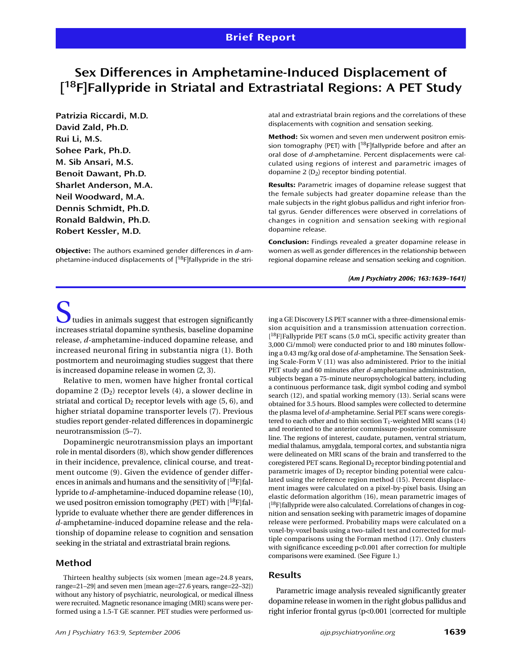# **Sex Differences in Amphetamine-Induced Displacement of [ 18F]Fallypride in Striatal and Extrastriatal Regions: A PET Study**

**Patrizia Riccardi, M.D. David Zald, Ph.D. Rui Li, M.S. Sohee Park, Ph.D. M. Sib Ansari, M.S. Benoit Dawant, Ph.D. Sharlet Anderson, M.A. Neil Woodward, M.A. Dennis Schmidt, Ph.D. Ronald Baldwin, Ph.D. Robert Kessler, M.D.**

**Objective:** The authors examined gender differences in *d*-amphetamine-induced displacements of [18F]fallypride in the striatal and extrastriatal brain regions and the correlations of these displacements with cognition and sensation seeking.

**Method:** Six women and seven men underwent positron emission tomography (PET) with  $[$ <sup>18</sup>F]fallypride before and after an oral dose of *d*-amphetamine. Percent displacements were calculated using regions of interest and parametric images of dopamine  $2 (D<sub>2</sub>)$  receptor binding potential.

**Results:** Parametric images of dopamine release suggest that the female subjects had greater dopamine release than the male subjects in the right globus pallidus and right inferior frontal gyrus. Gender differences were observed in correlations of changes in cognition and sensation seeking with regional dopamine release.

**Conclusion:** Findings revealed a greater dopamine release in women as well as gender differences in the relationship between regional dopamine release and sensation seeking and cognition.

*(Am J Psychiatry 2006; 163:1639–1641)*

 $\sum$  tudies in animals suggest that estrogen significantly increases striatal dopamine synthesis, baseline dopamine release, *d-*amphetamine-induced dopamine release, and increased neuronal firing in substantia nigra (1). Both postmortem and neuroimaging studies suggest that there is increased dopamine release in women (2, 3).

Relative to men, women have higher frontal cortical dopamine 2  $(D_2)$  receptor levels (4), a slower decline in striatal and cortical  $D_2$  receptor levels with age (5, 6), and higher striatal dopamine transporter levels (7). Previous studies report gender-related differences in dopaminergic neurotransmission (5–7).

Dopaminergic neurotransmission plays an important role in mental disorders (8), which show gender differences in their incidence, prevalence, clinical course, and treatment outcome (9). Given the evidence of gender differences in animals and humans and the sensitivity of [18F]fallypride to *d*-amphetamine-induced dopamine release (10), we used positron emission tomography (PET) with  $[{}^{18}F]$ fallypride to evaluate whether there are gender differences in *d*-amphetamine-induced dopamine release and the relationship of dopamine release to cognition and sensation seeking in the striatal and extrastriatal brain regions.

## **Method**

Thirteen healthy subjects (six women [mean age=24.8 years, range=21–29] and seven men [mean age=27.6 years, range=22–32]) without any history of psychiatric, neurological, or medical illness were recruited. Magnetic resonance imaging (MRI) scans were performed using a 1.5-T GE scanner. PET studies were performed using a GE Discovery LS PET scanner with a three-dimensional emission acquisition and a transmission attenuation correction. [<sup>18</sup>F]Fallypride PET scans (5.0 mCi, specific activity greater than 3,000 Ci/mmol) were conducted prior to and 180 minutes following a 0.43 mg/kg oral dose of *d*-amphetamine. The Sensation Seeking Scale-Form V (11) was also administered. Prior to the initial PET study and 60 minutes after *d*-amphetamine administration, subjects began a 75-minute neuropsychological battery, including a continuous performance task, digit symbol coding and symbol search (12), and spatial working memory (13). Serial scans were obtained for 3.5 hours. Blood samples were collected to determine the plasma level of *d*-amphetamine. Serial PET scans were coregistered to each other and to thin section  $T_1$ -weighted MRI scans (14) and reoriented to the anterior commissure-posterior commissure line. The regions of interest, caudate, putamen, ventral striatum, medial thalamus, amygdala, temporal cortex, and substantia nigra were delineated on MRI scans of the brain and transferred to the coregistered PET scans. Regional  $D_2$  receptor binding potential and parametric images of  $D_2$  receptor binding potential were calculated using the reference region method (15). Percent displacement images were calculated on a pixel-by-pixel basis. Using an elastic deformation algorithm (16), mean parametric images of [<sup>18</sup>F]fallypride were also calculated. Correlations of changes in cognition and sensation seeking with parametric images of dopamine release were performed. Probability maps were calculated on a voxel-by-voxel basis using a two-tailed t test and corrected for multiple comparisons using the Forman method (17). Only clusters with significance exceeding p<0.001 after correction for multiple comparisons were examined. (See Figure 1.)

### **Results**

Parametric image analysis revealed significantly greater dopamine release in women in the right globus pallidus and right inferior frontal gyrus (p<0.001 [corrected for multiple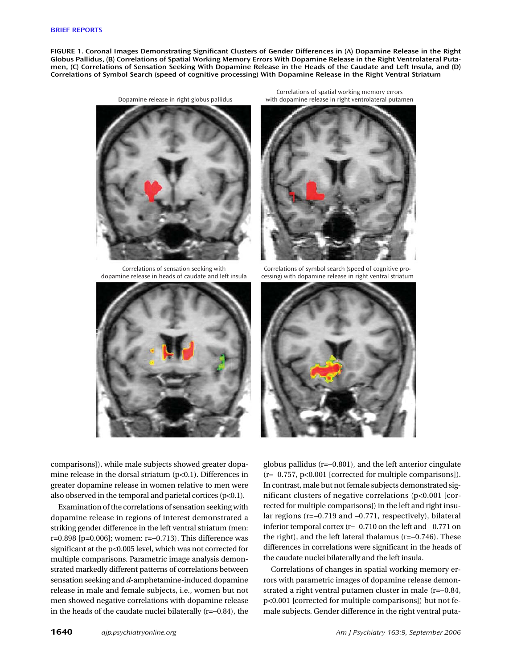**FIGURE 1. Coronal Images Demonstrating Significant Clusters of Gender Differences in (A) Dopamine Release in the Right Globus Pallidus, (B) Correlations of Spatial Working Memory Errors With Dopamine Release in the Right Ventrolateral Putamen, (C) Correlations of Sensation Seeking With Dopamine Release in the Heads of the Caudate and Left Insula, and (D) Correlations of Symbol Search (speed of cognitive processing) With Dopamine Release in the Right Ventral Striatum**



Correlations of sensation seeking with dopamine release in heads of caudate and left insula



Correlations of spatial working memory errors with dopamine release in right ventrolateral putamen



Correlations of symbol search (speed of cognitive processing) with dopamine release in right ventral striatum



comparisons]), while male subjects showed greater dopamine release in the dorsal striatum (p<0.1). Differences in greater dopamine release in women relative to men were also observed in the temporal and parietal cortices  $(p<0.1)$ .

Examination of the correlations of sensation seeking with dopamine release in regions of interest demonstrated a striking gender difference in the left ventral striatum (men: r=0.898 [p=0.006]; women: r=−0.713). This difference was significant at the p<0.005 level, which was not corrected for multiple comparisons. Parametric image analysis demonstrated markedly different patterns of correlations between sensation seeking and *d*-amphetamine-induced dopamine release in male and female subjects, i.e., women but not men showed negative correlations with dopamine release in the heads of the caudate nuclei bilaterally (r=−0.84), the

globus pallidus (r=−0.801), and the left anterior cingulate (r=−0.757, p<0.001 [corrected for multiple comparisons]). In contrast, male but not female subjects demonstrated significant clusters of negative correlations (p<0.001 [corrected for multiple comparisons]) in the left and right insular regions (r=−0.719 and −0.771, respectively), bilateral inferior temporal cortex (r=−0.710 on the left and −0.771 on the right), and the left lateral thalamus (r=−0.746). These differences in correlations were significant in the heads of the caudate nuclei bilaterally and the left insula.

Correlations of changes in spatial working memory errors with parametric images of dopamine release demonstrated a right ventral putamen cluster in male (r=−0.84, p<0.001 [corrected for multiple comparisons]) but not female subjects. Gender difference in the right ventral puta